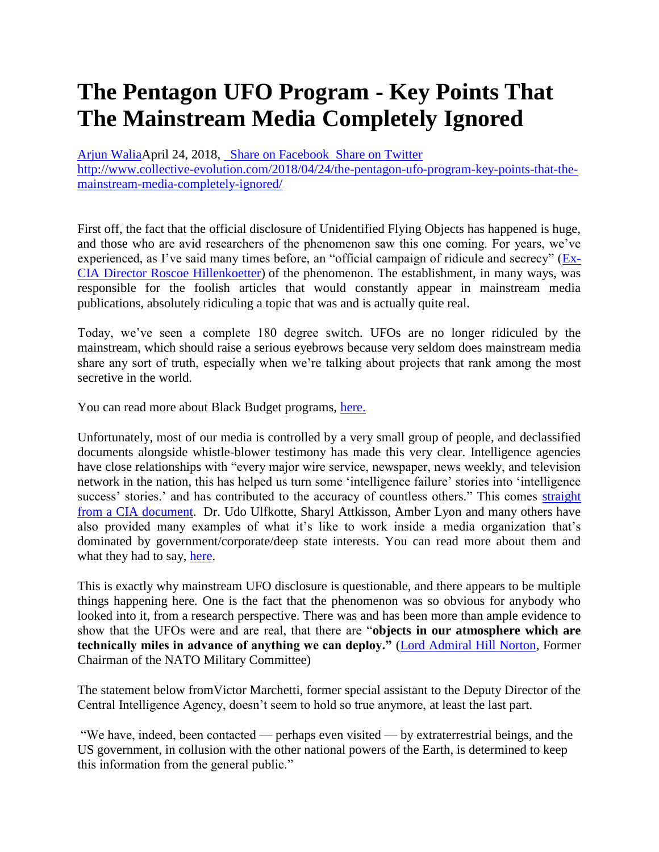## **The Pentagon UFO Program - Key Points That The Mainstream Media Completely Ignored**

[Arjun WaliaA](http://www.collective-evolution.com/author/arjun/)pril 24, 2018, [Share on Facebook Share on Twitter](https://www.facebook.com/sharer/sharer.php?u=http%3A%2F%2Fwww.collective-evolution.com%2F2018%2F04%2F24%2Fthe-pentagon-ufo-program-key-points-that-the-mainstream-media-completely-ignored%2F) [http://www.collective-evolution.com/2018/04/24/the-pentagon-ufo-program-key-points-that-the](http://www.collective-evolution.com/2018/04/24/the-pentagon-ufo-program-key-points-that-the-mainstream-media-completely-ignored/)[mainstream-media-completely-ignored/](http://www.collective-evolution.com/2018/04/24/the-pentagon-ufo-program-key-points-that-the-mainstream-media-completely-ignored/)

First off, the fact that the official disclosure of Unidentified Flying Objects has happened is huge, and those who are avid researchers of the phenomenon saw this one coming. For years, we've experienced, as I've said many times before, an "official campaign of ridicule and secrecy" [\(Ex-](https://www.nytimes.com/1960/02/28/archives/air-forge-order-on-saucers-cited-pamphlet-by-the-inspector-general.html)[CIA Director Roscoe Hillenkoetter\)](https://www.nytimes.com/1960/02/28/archives/air-forge-order-on-saucers-cited-pamphlet-by-the-inspector-general.html) of the phenomenon. The establishment, in many ways, was responsible for the foolish articles that would constantly appear in mainstream media publications, absolutely ridiculing a topic that was and is actually quite real.

Today, we've seen a complete 180 degree switch. UFOs are no longer ridiculed by the mainstream, which should raise a serious eyebrows because very seldom does mainstream media share any sort of truth, especially when we're talking about projects that rank among the most secretive in the world.

You can read more about Black Budget programs, [here.](http://www.collective-evolution.com/2016/06/29/the-black-budget-this-is-what-the-secret-government-doesnt-want-you-to-know/)

Unfortunately, most of our media is controlled by a very small group of people, and declassified documents alongside whistle-blower testimony has made this very clear. Intelligence agencies have close relationships with "every major wire service, newspaper, news weekly, and television network in the nation, this has helped us turn some 'intelligence failure' stories into 'intelligence success' stories.' and has contributed to the accuracy of countless others." This comes straight [from a CIA document.](http://www.collective-evolution.com/2017/05/11/declassified-cia-documents-shows-agencies-control-over-mainstream-media-academia/) Dr. Udo Ulfkotte, Sharyl Attkisson, Amber Lyon and many others have also provided many examples of what it's like to work inside a media organization that's dominated by government/corporate/deep state interests. You can read more about them and what they had to say, [here.](http://www.collective-evolution.com/2016/01/01/3-popular-mainstream-media-journalists-come-together-tell-the-truth-about-tell-lie-vision/)

This is exactly why mainstream UFO disclosure is questionable, and there appears to be multiple things happening here. One is the fact that the phenomenon was so obvious for anybody who looked into it, from a research perspective. There was and has been more than ample evidence to show that the UFOs were and are real, that there are "**objects in our atmosphere which are technically miles in advance of anything we can deploy."** [\(Lord Admiral Hill Norton,](https://www.youtube.com/watch?v=x0W23MoBUEM) Former Chairman of the NATO Military Committee)

The statement below fromVictor Marchetti, former special assistant to the Deputy Director of the Central Intelligence Agency, doesn't seem to hold so true anymore, at least the last part.

"We have, indeed, been contacted — perhaps even visited — by extraterrestrial beings, and the US government, in collusion with the other national powers of the Earth, is determined to keep this information from the general public."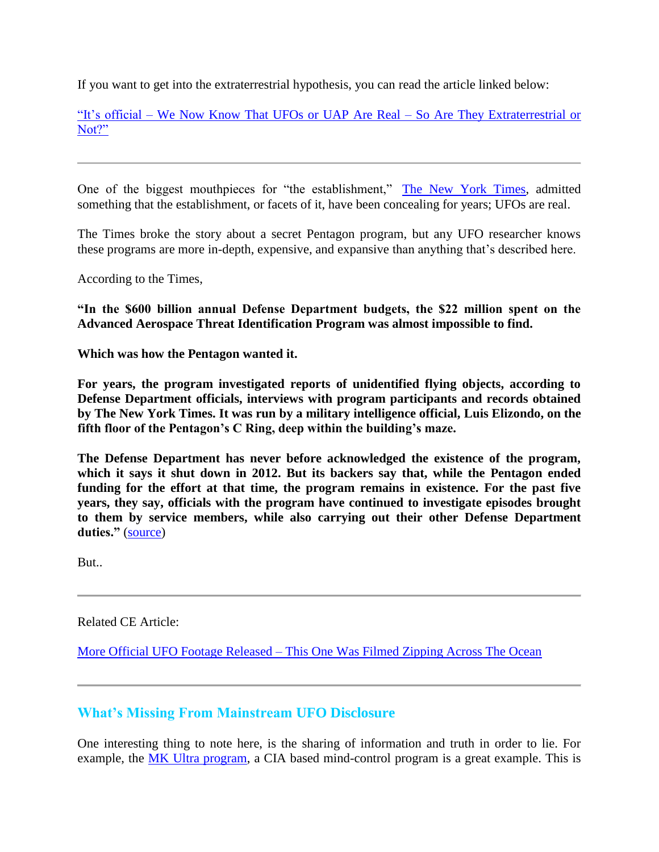If you want to get into the extraterrestrial hypothesis, you can read the article linked below:

"It's official – [We Now Know That UFOs or UAP Are Real –](http://www.collective-evolution.com/2017/12/08/its-official-we-now-know-that-ufos-or-uap-are-real-so-are-they-extraterrestrial-or-not/) So Are They Extraterrestrial or [Not?"](http://www.collective-evolution.com/2017/12/08/its-official-we-now-know-that-ufos-or-uap-are-real-so-are-they-extraterrestrial-or-not/)

One of the biggest mouthpieces for "the establishment," [The New York Times,](https://www.nytimes.com/2017/12/16/us/politics/pentagon-program-ufo-harry-reid.html) admitted something that the establishment, or facets of it, have been concealing for years; UFOs are real.

The Times broke the story about a secret Pentagon program, but any UFO researcher knows these programs are more in-depth, expensive, and expansive than anything that's described here.

According to the Times,

**"In the \$600 billion annual Defense Department budgets, the \$22 million spent on the Advanced Aerospace Threat Identification Program was almost impossible to find.**

**Which was how the Pentagon wanted it.**

**For years, the program investigated reports of unidentified flying objects, according to Defense Department officials, interviews with program participants and records obtained by The New York Times. It was run by a military intelligence official, Luis Elizondo, on the fifth floor of the Pentagon's C Ring, deep within the building's maze.**

**The Defense Department has never before acknowledged the existence of the program, which it says it shut down in 2012. But its backers say that, while the Pentagon ended funding for the effort at that time, the program remains in existence. For the past five years, they say, officials with the program have continued to investigate episodes brought to them by service members, while also carrying out their other Defense Department**  duties." [\(source\)](https://www.nytimes.com/2017/12/16/us/politics/pentagon-program-ufo-harry-reid.html)

But..

Related CE Article:

More Official UFO Footage Released – [This One Was Filmed Zipping Across The Ocean](http://www.collective-evolution.com/2018/03/12/more-official-ufo-footage-released-this-one-was-filmed-zipping-across-the-ocean/)

## **What's Missing From Mainstream UFO Disclosure**

One interesting thing to note here, is the sharing of information and truth in order to lie. For example, the [MK Ultra program,](http://www.collective-evolution.com/2018/04/16/mk-ultra-survivor-shares-how-her-multiple-personalities-were-used-by-the-elite-for-unthinkable-things/) a CIA based mind-control program is a great example. This is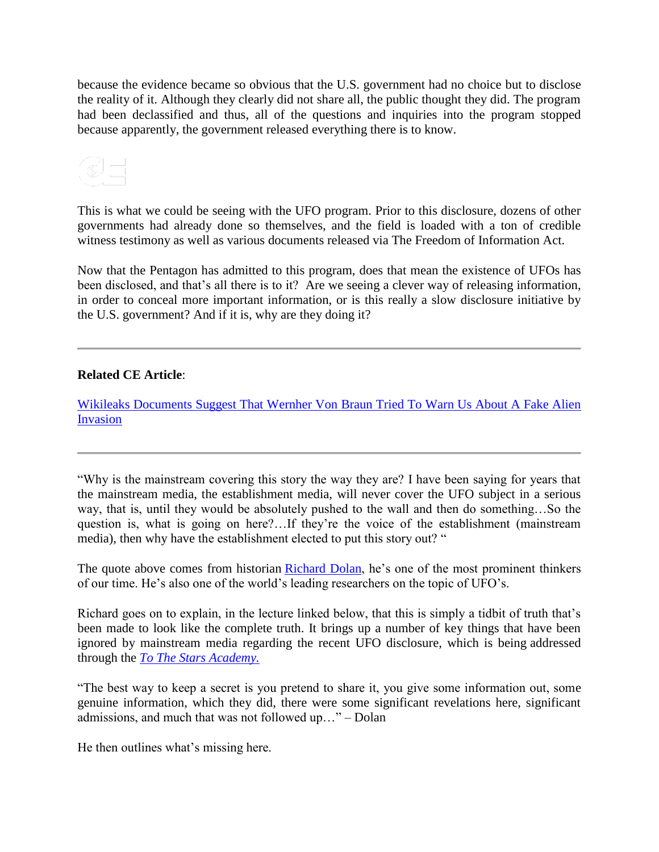because the evidence became so obvious that the U.S. government had no choice but to disclose the reality of it. Although they clearly did not share all, the public thought they did. The program had been declassified and thus, all of the questions and inquiries into the program stopped because apparently, the government released everything there is to know.

This is what we could be seeing with the UFO program. Prior to this disclosure, dozens of other governments had already done so themselves, and the field is loaded with a ton of credible witness testimony as well as various documents released via The Freedom of Information Act.

Now that the Pentagon has admitted to this program, does that mean the existence of UFOs has been disclosed, and that's all there is to it? Are we seeing a clever way of releasing information, in order to conceal more important information, or is this really a slow disclosure initiative by the U.S. government? And if it is, why are they doing it?

## **Related CE Article**:

[Wikileaks Documents Suggest That Wernher Von Braun Tried To Warn Us About A Fake Alien](http://www.collective-evolution.com/2018/04/06/wikileaks-documents-suggest-that-wernher-von-braun-tried-to-warn-us-about-a-fake-alien-invasion/)  [Invasion](http://www.collective-evolution.com/2018/04/06/wikileaks-documents-suggest-that-wernher-von-braun-tried-to-warn-us-about-a-fake-alien-invasion/)

"Why is the mainstream covering this story the way they are? I have been saying for years that the mainstream media, the establishment media, will never cover the UFO subject in a serious way, that is, until they would be absolutely pushed to the wall and then do something…So the question is, what is going on here?…If they're the voice of the establishment (mainstream media), then why have the establishment elected to put this story out? "

The quote above comes from historian [Richard Dolan,](https://www.richarddolanpress.com/) he's one of the most prominent thinkers of our time. He's also one of the world's leading researchers on the topic of UFO's.

Richard goes on to explain, in the lecture linked below, that this is simply a tidbit of truth that's been made to look like the complete truth. It brings up a number of key things that have been ignored by mainstream media regarding the recent UFO disclosure, which is being addressed through the *[To The Stars Academy.](https://dpo.tothestarsacademy.com/)*

"The best way to keep a secret is you pretend to share it, you give some information out, some genuine information, which they did, there were some significant revelations here, significant admissions, and much that was not followed up…" – Dolan

He then outlines what's missing here.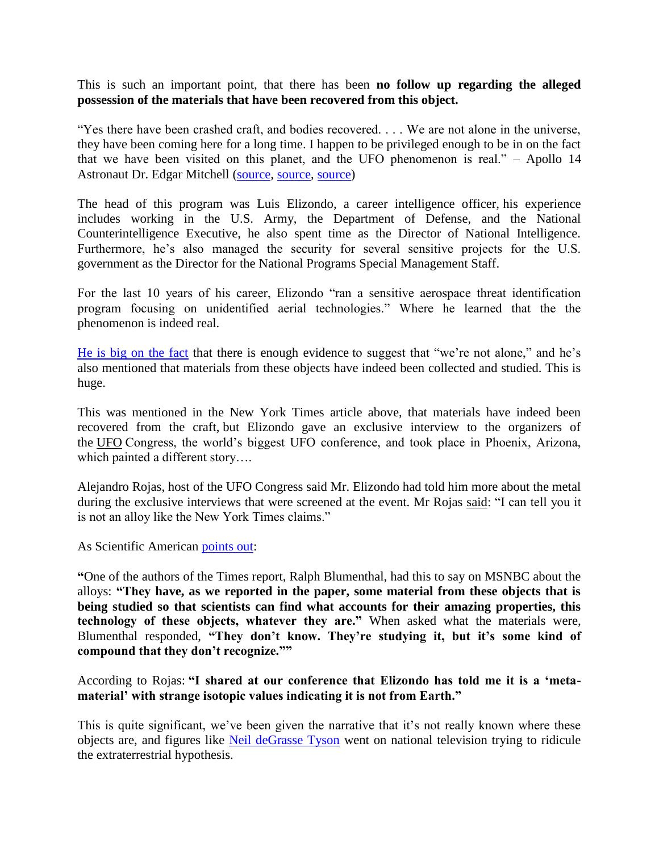This is such an important point, that there has been **no follow up regarding the alleged possession of the materials that have been recovered from this object.**

"Yes there have been crashed craft, and bodies recovered. . . . We are not alone in the universe, they have been coming here for a long time. I happen to be privileged enough to be in on the fact that we have been visited on this planet, and the UFO phenomenon is real." – Apollo 14 Astronaut Dr. Edgar Mitchell [\(source,](http://www.citizenhearing.org/) [source,](https://www.youtube.com/watch?v=OibqdwHyZxk) [source\)](https://vimeo.com/124604396)

The head of this program was Luis Elizondo, a career intelligence officer, his experience includes working in the U.S. Army, the Department of Defense, and the National Counterintelligence Executive, he also spent time as the Director of National Intelligence. Furthermore, he's also managed the security for several sensitive projects for the U.S. government as the Director for the National Programs Special Management Staff.

For the last 10 years of his career, Elizondo "ran a sensitive aerospace threat identification program focusing on unidentified aerial technologies." Where he learned that the the phenomenon is indeed real.

[He is big on the fact](https://www.youtube.com/watch?v=-2b4qSoMnKE&t=10s) that there is enough evidence to suggest that "we're not alone," and he's also mentioned that materials from these objects have indeed been collected and studied. This is huge.

This was mentioned in the New York Times article above, that materials have indeed been recovered from the craft, but Elizondo gave an exclusive interview to the organizers of the [UFO](https://www.express.co.uk/latest/ufo) Congress, the world's biggest UFO conference, and took place in Phoenix, Arizona, which painted a different story….

Alejandro Rojas, host of the UFO Congress said Mr. Elizondo had told him more about the metal during the exclusive interviews that were screened at the event. Mr Rojas [said:](https://www.express.co.uk/news/weird/922686/Pentagon-UFO-metal-not-from-this-earth) "I can tell you it is not an alloy like the New York Times claims."

As Scientific American [points out:](https://www.scientificamerican.com/article/the-truth-about-those-alien-alloys-in-the-new-york-times-ufo-story/)

**"**One of the authors of the Times report, Ralph Blumenthal, had this to say on MSNBC about the alloys: **"They have, as we reported in the paper, some material from these objects that is being studied so that scientists can find what accounts for their amazing properties, this technology of these objects, whatever they are."** When asked what the materials were, Blumenthal responded, **"They don't know. They're studying it, but it's some kind of compound that they don't recognize.""**

According to Rojas: **"I shared at our conference that Elizondo has told me it is a 'metamaterial' with strange isotopic values indicating it is not from Earth."**

This is quite significant, we've been given the narrative that it's not really known where these objects are, and figures like [Neil deGrasse Tyson](http://www.collective-evolution.com/2017/12/22/what-neil-degrasse-tyson-completely-fails-to-acknowledge-about-ufos-extraterrestrials/) went on national television trying to ridicule the extraterrestrial hypothesis.